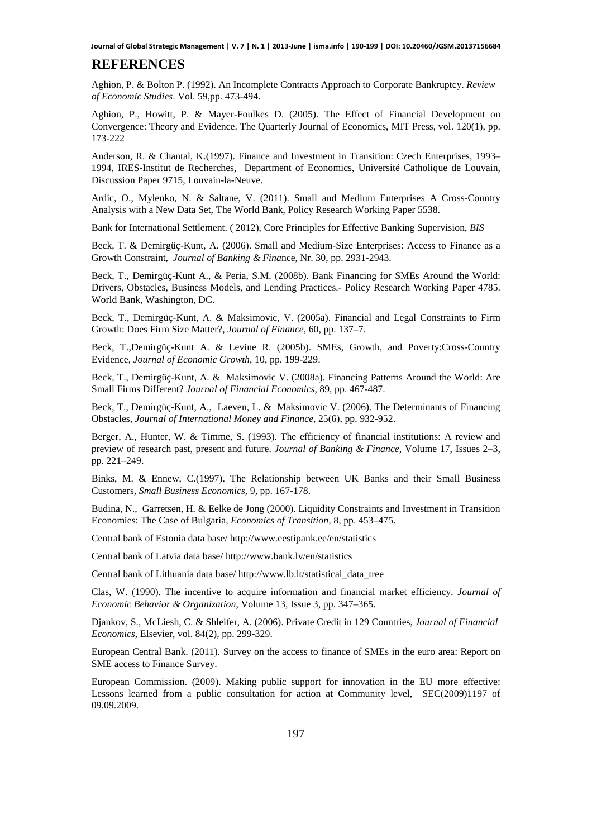## **REFERENCES**

Aghion, P. & Bolton P. (1992). An Incomplete Contracts Approach to Corporate Bankruptcy. *Review of Economic Studies*. Vol. 59,pp. 473-494.

Aghion, P., Howitt, P. & Mayer-Foulkes D. (2005). The Effect of Financial Development on Convergence: Theory and Evidence. The Quarterly Journal of Economics, MIT Press, vol. 120(1), pp. 173-222

Anderson, R. & Chantal, K.(1997). Finance and Investment in Transition: Czech Enterprises, 1993– 1994, IRES-Institut de Recherches, Department of Economics, Université Catholique de Louvain, Discussion Paper 9715, Louvain-la-Neuve.

Ardic, O., Mylenko, N. & Saltane, V. (2011). Small and Medium Enterprises A Cross-Country Analysis with a New Data Set, The World Bank, Policy Research Working Paper 5538.

Bank for International Settlement. ( 2012), Core Principles for Effective Banking Supervision, *BIS* 

Beck, T. & Demirgüç-Kunt, A. (2006). Small and Medium-Size Enterprises: Access to Finance as a Growth Constraint, *Journal of Banking & Fina*nce, Nr. 30, pp. 2931-2943.

Beck, T., Demirgüç-Kunt A., & Peria, S.M. (2008b). Bank Financing for SMEs Around the World: Drivers, Obstacles, Business Models, and Lending Practices.- Policy Research Working Paper 4785. World Bank, Washington, DC.

Beck, T., Demirgüç-Kunt, A. & Maksimovic, V. (2005a). Financial and Legal Constraints to Firm Growth: Does Firm Size Matter?, *Journal of Finance,* 60, pp. 137–7.

Beck, T.,Demirgüç-Kunt A. & Levine R. (2005b). SMEs, Growth, and Poverty:Cross-Country Evidence, *Journal of Economic Growth,* 10, pp. 199-229.

Beck, T., Demirgüç-Kunt, A. & Maksimovic V. (2008a). Financing Patterns Around the World: Are Small Firms Different? *Journal of Financial Economics,* 89, pp. 467-487.

Beck, T., Demirgüç-Kunt, A., Laeven, L. & Maksimovic V. (2006). The Determinants of Financing Obstacles, *Journal of International Money and Finance,* 25(6), pp. 932-952.

Berger, A., Hunter, W. & Timme, S. (1993). The efficiency of financial institutions: A review and preview of research past, present and future. *Journal of Banking & Finance*, Volume 17, Issues 2–3, pp. 221–249.

Binks, M. & Ennew, C.(1997). The Relationship between UK Banks and their Small Business Customers, *Small Business Economics,* 9, pp. 167-178.

Budina, N., Garretsen, H. & Eelke de Jong (2000). Liquidity Constraints and Investment in Transition Economies: The Case of Bulgaria, *Economics of Transition,* 8, pp. 453–475.

Central bank of Estonia data base/ http://www.eestipank.ee/en/statistics

Central bank of Latvia data base/ http://www.bank.lv/en/statistics

Central bank of Lithuania data base/ http://www.lb.lt/statistical\_data\_tree

Clas, W. (1990). The incentive to acquire information and financial market efficiency. *Journal of Economic Behavior & Organization*, Volume 13, Issue 3, pp. 347–365.

Djankov, S., McLiesh, C. & Shleifer, A. (2006). Private Credit in 129 Countries, *Journal of Financial Economics*, Elsevier, vol. 84(2), pp. 299-329.

European Central Bank. (2011). Survey on the access to finance of SMEs in the euro area: Report on SME access to Finance Survey.

European Commission. (2009). Making public support for innovation in the EU more effective: Lessons learned from a public consultation for action at Community level, SEC(2009)1197 of 09.09.2009.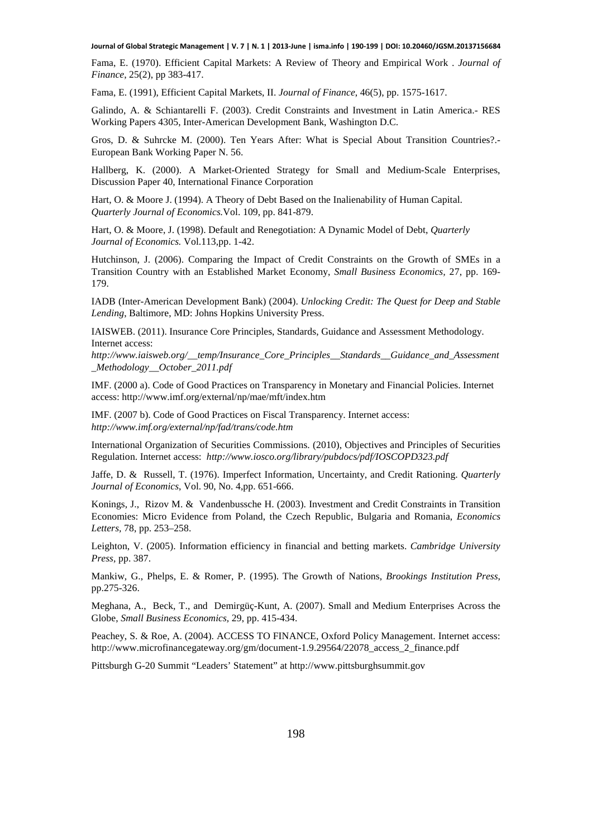**Journal of Global Strategic Management | V. 7 | N. 1 | 2013-June | isma.info | 190-199 | DOI: 10.20460/JGSM.20137156684**

Fama, E. (1970). Efficient Capital Markets: A Review of Theory and Empirical Work . *Journal of Finance*, 25(2), pp 383-417.

Fama, E. (1991), Efficient Capital Markets, II. *Journal of Finance*, 46(5), pp. 1575-1617.

Galindo, A. & Schiantarelli F. (2003). Credit Constraints and Investment in Latin America.- RES Working Papers 4305, Inter-American Development Bank, Washington D.C.

Gros, D. & Suhrcke M. (2000). Ten Years After: What is Special About Transition Countries?.- European Bank Working Paper N. 56.

Hallberg, K. (2000). A Market-Oriented Strategy for Small and Medium-Scale Enterprises, Discussion Paper 40, International Finance Corporation

Hart, O. & Moore J. (1994). A Theory of Debt Based on the Inalienability of Human Capital. *Quarterly Journal of Economics.*Vol. 109, pp. 841-879.

Hart, O. & Moore, J. (1998). Default and Renegotiation: A Dynamic Model of Debt, *Quarterly Journal of Economics.* Vol.113,pp. 1-42.

Hutchinson, J. (2006). Comparing the Impact of Credit Constraints on the Growth of SMEs in a Transition Country with an Established Market Economy, *Small Business Economics,* 27, pp. 169- 179.

IADB (Inter-American Development Bank) (2004). *Unlocking Credit: The Quest for Deep and Stable Lending*, Baltimore, MD: Johns Hopkins University Press.

IAISWEB. (2011). Insurance Core Principles, Standards, Guidance and Assessment Methodology. Internet access:

*http://www.iaisweb.org/\_\_temp/Insurance\_Core\_Principles\_\_Standards\_\_Guidance\_and\_Assessment \_Methodology\_\_October\_2011.pdf* 

IMF. (2000 a). Code of Good Practices on Transparency in Monetary and Financial Policies. Internet access: http://www.imf.org/external/np/mae/mft/index.htm

IMF. (2007 b). Code of Good Practices on Fiscal Transparency. Internet access: *http://www.imf.org/external/np/fad/trans/code.htm*

International Organization of Securities Commissions. (2010), Objectives and Principles of Securities Regulation. Internet access: *http://www.iosco.org/library/pubdocs/pdf/IOSCOPD323.pdf*

Jaffe, D. & Russell, T. (1976). Imperfect Information, Uncertainty, and Credit Rationing. *Quarterly Journal of Economics*, Vol. 90, No. 4,pp. 651-666.

Konings, J., Rizov M. & Vandenbussche H. (2003). Investment and Credit Constraints in Transition Economies: Micro Evidence from Poland, the Czech Republic, Bulgaria and Romania, *Economics Letters,* 78, pp. 253–258.

Leighton, V. (2005). Information efficiency in financial and betting markets. *Cambridge University Press,* pp. 387.

Mankiw, G., Phelps, E. & Romer, P. (1995). The Growth of Nations, *Brookings Institution Press*, pp.275-326.

Meghana, A., Beck, T., and Demirgüç-Kunt, A. (2007). Small and Medium Enterprises Across the Globe, *Small Business Economics,* 29, pp. 415-434.

Peachey, S. & Roe, A. (2004). ACCESS TO FINANCE, Oxford Policy Management. Internet access: http://www.microfinancegateway.org/gm/document-1.9.29564/22078\_access\_2\_finance.pdf

Pittsburgh G-20 Summit "Leaders' Statement" at http://www.pittsburghsummit.gov